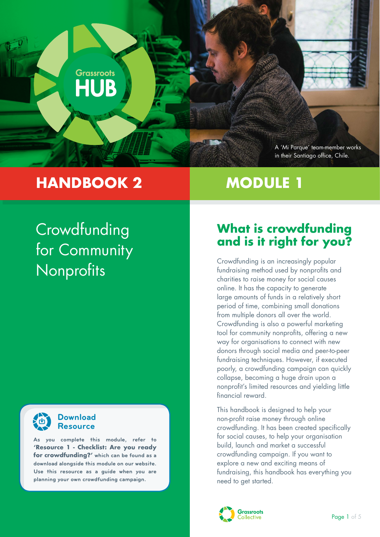

# **HANDBOOK 2 MODULE 1**

# **Crowdfunding** for Community **Nonprofits**



#### **Download Resource**

**As you complete this module, refer to 'Resource 1 - Checklist: Are you ready for crowdfunding?' which can be found as a download alongside this module on our website. Use this resource as a guide when you are planning your own crowdfunding campaign.**

## **What is crowdfunding and is it right for you?**

Crowdfunding is an increasingly popular fundraising method used by nonprofits and charities to raise money for social causes online. It has the capacity to generate large amounts of funds in a relatively short period of time, combining small donations from multiple donors all over the world. Crowdfunding is also a powerful marketing tool for community nonprofits, offering a new way for organisations to connect with new donors through social media and peer-to-peer fundraising techniques. However, if executed poorly, a crowdfunding campaign can quickly collapse, becoming a huge drain upon a nonprofit's limited resources and yielding little financial reward.

This handbook is designed to help your non-profit raise money through online crowdfunding. It has been created specifically for social causes, to help your organisation build, launch and market a successful crowdfunding campaign. If you want to explore a new and exciting means of fundraising, this handbook has everything you need to get started.

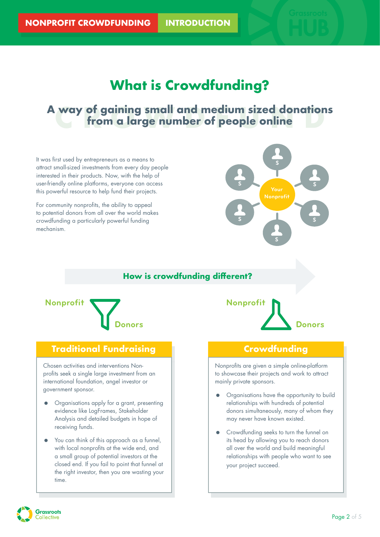# **What is Crowdfunding?**

### **CROWDFUND A way of gaining small and medium sized donations from a large number of people online**

It was first used by entrepreneurs as a means to attract small-sized investments from every day people interested in their products. Now, with the help of user-friendly online platforms, everyone can access this powerful resource to help fund their projects.

For community nonprofits, the ability to appeal to potential donors from all over the world makes crowdfunding a particularly powerful funding mechanism.



#### **How is crowdfunding different?**



#### **Traditional Fundraising**

Chosen activities and interventions Nonprofits seek a single large investment from an international foundation, angel investor or government sponsor.

- Organisations apply for a grant, presenting evidence like LogFrames, Stakeholder Analysis and detailed budgets in hope of receiving funds.
- You can think of this approach as a funnel, with local nonprofits at the wide end, and a small group of potential investors at the closed end. If you fail to point that funnel at the right investor, then you are wasting your time.



#### **Crowdfunding**

Nonprofits are given a simple online-platform to showcase their projects and work to attract mainly private sponsors.

- Organisations have the opportunity to build relationships with hundreds of potential donors simultaneously, many of whom they may never have known existed.
- **•** Crowdfunding seeks to turn the funnel on its head by allowing you to reach donors all over the world and build meaningful relationships with people who want to see your project succeed.

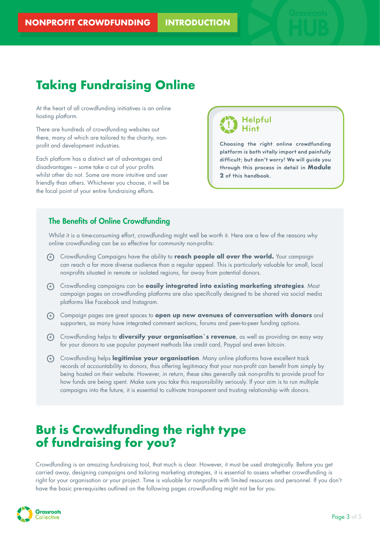# **Taking Fundraising Online**

At the heart of all crowdfunding initiatives is an online hosting platform.

There are hundreds of crowdfunding websites out there, many of which are tailored to the charity, nonprofit and development industries.

Each platform has a distinct set of advantages and disadvantages – some take a cut of your profits whilst other do not. Some are more intuitive and user friendly than others. Whichever you choose, it will be the focal point of your entire fundraising efforts.

**Helpful Hint**

**Choosing the right online crowdfunding platform is both vitally import and painfully difficult; but don't worry! We will guide you through this process in detail in Module 2 of this handbook.**

#### The Benefits of Online Crowdfunding

Whilst it is a time-consuming effort, crowdfunding might well be worth it. Here are a few of the reasons why online crowdfunding can be so effective for community non-profits:

- + Crowdfunding Campaigns have the ability to **reach people all over the world.** Your campaign can reach a far more diverse audience than a regular appeal. This is particularly valuable for small, local nonprofits situated in remote or isolated regions, far away from potential donors.
- + Crowdfunding campaigns can be **easily integrated into existing marketing strategies**. Most campaign pages on crowdfunding platforms are also specifically designed to be shared via social media platforms like Facebook and Instagram.
- + Campaign pages are great spaces to **open up new avenues of conversation with donors** and supporters, as many have integrated comment sections, forums and peer-to-peer funding options.
- + Crowdfunding helps to **diversify your organisation`s revenue**, as well as providing an easy way for your donors to use popular payment methods like credit card, Paypal and even bitcoin.
- + Crowdfunding helps **legitimise your organisation**. Many online platforms have excellent track records of accountability to donors, thus offering legitimacy that your non-profit can benefit from simply by being hosted on their website. However, in return, these sites generally ask non-profits to provide proof for how funds are being spent. Make sure you take this responsibility seriously. If your aim is to run multiple campaigns into the future, it is essential to cultivate transparent and trusting relationship with donors.

## **But is Crowdfunding the right type of fundraising for you?**

Crowdfunding is an amazing fundraising tool, that much is clear. However, it must be used strategically. Before you get carried away, designing campaigns and tailoring marketing strategies, it is essential to assess whether crowdfunding is right for your organisation or your project. Time is valuable for nonprofits with limited resources and personnel. If you don't have the basic pre-requisites outlined on the following pages crowdfunding might not be for you.

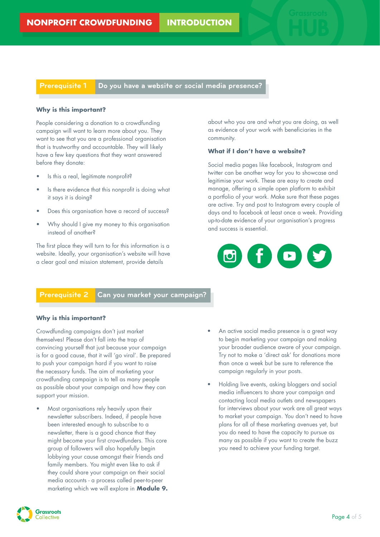**Prerequisite 1 Do you have a website or social media presence?** 

#### **Why is this important?**

People considering a donation to a crowdfunding campaign will want to learn more about you. They want to see that you are a professional organisation that is trustworthy and accountable. They will likely have a few key questions that they want answered before they donate:

- Is this a real, legitimate nonprofit?
- Is there evidence that this nonprofit is doing what it says it is doing?
- Does this organisation have a record of success?
- Why should I give my money to this organisation instead of another?

The first place they will turn to for this information is a website. Ideally, your organisation's website will have a clear goal and mission statement, provide details

about who you are and what you are doing, as well as evidence of your work with beneficiaries in the community.

#### **What if I don't have a website?**

Social media pages like facebook, Instagram and twitter can be another way for you to showcase and legitimise your work. These are easy to create and manage, offering a simple open platform to exhibit a portfolio of your work. Make sure that these pages are active. Try and post to Instagram every couple of days and to facebook at least once a week. Providing up-to-date evidence of your organisation's progress and success is essential.

### f. E

**Prerequisite 2 Can you market your campaign?** 

#### **Why is this important?**

Crowdfunding campaigns don't just market themselves! Please don't fall into the trap of convincing yourself that just because your campaign is for a good cause, that it will 'go viral'. Be prepared to push your campaign hard if you want to raise the necessary funds. The aim of marketing your crowdfunding campaign is to tell as many people as possible about your campaign and how they can support your mission.

- Most organisations rely heavily upon their newsletter subscribers. Indeed, if people have been interested enough to subscribe to a newsletter, there is a good chance that they might become your first crowdfunders. This core group of followers will also hopefully begin lobbying your cause amongst their friends and family members. You might even like to ask if they could share your campaign on their social media accounts - a process called peer-to-peer marketing which we will explore in **Module 9.**
- An active social media presence is a great way to begin marketing your campaign and making your broader audience aware of your campaign. Try not to make a 'direct ask' for donations more than once a week but be sure to reference the campaign regularly in your posts.
- Holding live events, asking bloggers and social media influencers to share your campaign and contacting local media outlets and newspapers for interviews about your work are all great ways to market your campaign. You don't need to have plans for all of these marketing avenues yet, but you do need to have the capacity to pursue as many as possible if you want to create the buzz you need to achieve your funding target.